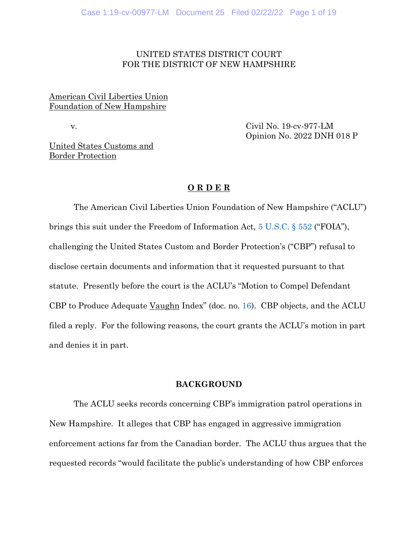## UNITED STATES DISTRICT COURT FOR THE DISTRICT OF NEW HAMPSHIRE

# American Civil Liberties Union Foundation of New Hampshire

 v. Civil No. 19-cv-977-LM Opinion No. 2022 DNH 018 P

United States Customs and Border Protection

## **O R D E R**

The American Civil Liberties Union Foundation of New Hampshire ("ACLU") brings this suit under the Freedom of Information Act, [5 U.S.C. §](https://www.westlaw.com/Document/N80B2C7604A0911E69C0FE30FEF04D3AC/View/FullText.html?transitionType=Default&contextData=(sc.Default)&VR=3.0&RS=da3.0) 552 ("FOIA"), challenging the United States Custom and Border Protection's ("CBP") refusal to disclose certain documents and information that it requested pursuant to that statute. Presently before the court is the ACLU's "Motion to Compel Defendant CBP to Produce Adequate Vaughn Index" (doc. no. [16\)](https://ecf.nhd.uscourts.gov/doc1/11702671567). CBP objects, and the ACLU filed a reply. For the following reasons, the court grants the ACLU's motion in part and denies it in part.

#### **BACKGROUND**

The ACLU seeks records concerning CBP's immigration patrol operations in New Hampshire. It alleges that CBP has engaged in aggressive immigration enforcement actions far from the Canadian border. The ACLU thus argues that the requested records "would facilitate the public's understanding of how CBP enforces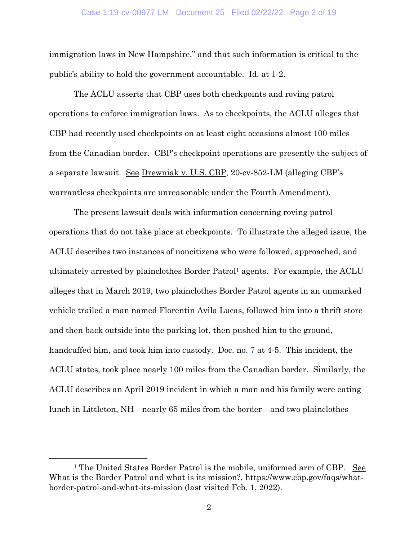### Case 1:19-cv-00977-LM Document 25 Filed 02/22/22 Page 2 of 19

immigration laws in New Hampshire," and that such information is critical to the public's ability to hold the government accountable. Id. at 1-2.

The ACLU asserts that CBP uses both checkpoints and roving patrol operations to enforce immigration laws. As to checkpoints, the ACLU alleges that CBP had recently used checkpoints on at least eight occasions almost 100 miles from the Canadian border. CBP's checkpoint operations are presently the subject of a separate lawsuit. See Drewniak v. U.S. CBP, 20-cv-852-LM (alleging CBP's warrantless checkpoints are unreasonable under the Fourth Amendment).

The present lawsuit deals with information concerning roving patrol operations that do not take place at checkpoints. To illustrate the alleged issue, the ACLU describes two instances of noncitizens who were followed, approached, and ultimately arrested by plainclothes Border Patrol<sup>1</sup> agents. For example, the ACLU alleges that in March 2019, two plainclothes Border Patrol agents in an unmarked vehicle trailed a man named Florentin Avila Lucas, followed him into a thrift store and then back outside into the parking lot, then pushed him to the ground, handcuffed him, and took him into custody. Doc. no. [7](https://ecf.nhd.uscourts.gov/doc1/11702370093) at 4-5. This incident, the ACLU states, took place nearly 100 miles from the Canadian border. Similarly, the ACLU describes an April 2019 incident in which a man and his family were eating lunch in Littleton, NH—nearly 65 miles from the border—and two plainclothes

<sup>&</sup>lt;sup>1</sup> The United States Border Patrol is the mobile, uniformed arm of CBP. See What is the Border Patrol and what is its mission?, https://www.cbp.gov/faqs/whatborder-patrol-and-what-its-mission (last visited Feb. 1, 2022).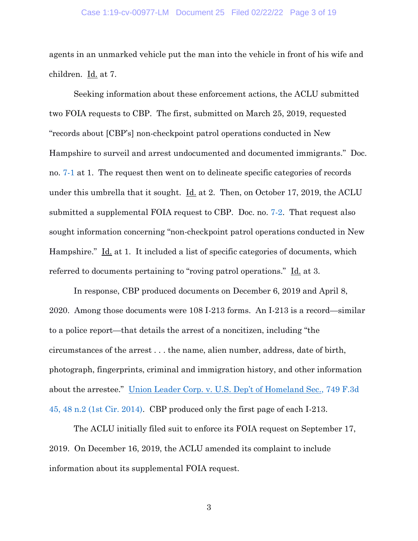### Case 1:19-cv-00977-LM Document 25 Filed 02/22/22 Page 3 of 19

agents in an unmarked vehicle put the man into the vehicle in front of his wife and children. Id. at 7.

Seeking information about these enforcement actions, the ACLU submitted two FOIA requests to CBP. The first, submitted on March 25, 2019, requested "records about [CBP's] non-checkpoint patrol operations conducted in New Hampshire to surveil and arrest undocumented and documented immigrants." Doc. no. [7-1](https://ecf.nhd.uscourts.gov/doc1/11712370094) at 1. The request then went on to delineate specific categories of records under this umbrella that it sought.  $\underline{Id}$  at 2. Then, on October 17, 2019, the ACLU submitted a supplemental FOIA request to CBP. Doc. no. [7-2.](https://ecf.nhd.uscourts.gov/doc1/11712370095) That request also sought information concerning "non-checkpoint patrol operations conducted in New Hampshire." Id. at 1. It included a list of specific categories of documents, which referred to documents pertaining to "roving patrol operations." Id. at 3.

In response, CBP produced documents on December 6, 2019 and April 8, 2020. Among those documents were 108 I-213 forms. An I-213 is a record—similar to a police report—that details the arrest of a noncitizen, including "the circumstances of the arrest . . . the name, alien number, address, date of birth, photograph, fingerprints, criminal and immigration history, and other information about the arrestee." [Union Leader Corp. v. U.S. Dep't of Homeland Sec.](https://www.westlaw.com/Document/I393ab4fbcb1f11e39488c8f438320c70/View/FullText.html?transitionType=Default&contextData=(sc.Default)&VR=3.0&RS=da3.0&fragmentIdentifier=co_pp_sp_506_48+n.2), 749 F.3d [45, 48 n.2 \(1st Cir. 2014\).](https://www.westlaw.com/Document/I393ab4fbcb1f11e39488c8f438320c70/View/FullText.html?transitionType=Default&contextData=(sc.Default)&VR=3.0&RS=da3.0&fragmentIdentifier=co_pp_sp_506_48+n.2) CBP produced only the first page of each I-213.

The ACLU initially filed suit to enforce its FOIA request on September 17, 2019. On December 16, 2019, the ACLU amended its complaint to include information about its supplemental FOIA request.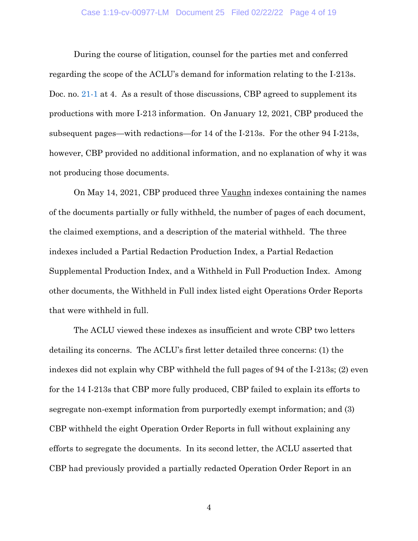### Case 1:19-cv-00977-LM Document 25 Filed 02/22/22 Page 4 of 19

During the course of litigation, counsel for the parties met and conferred regarding the scope of the ACLU's demand for information relating to the I-213s. Doc. no. [21-1](https://ecf.nhd.uscourts.gov/doc1/11712711288) at 4. As a result of those discussions, CBP agreed to supplement its productions with more I-213 information. On January 12, 2021, CBP produced the subsequent pages—with redactions—for 14 of the I-213s. For the other 94 I-213s, however, CBP provided no additional information, and no explanation of why it was not producing those documents.

On May 14, 2021, CBP produced three Vaughn indexes containing the names of the documents partially or fully withheld, the number of pages of each document, the claimed exemptions, and a description of the material withheld. The three indexes included a Partial Redaction Production Index, a Partial Redaction Supplemental Production Index, and a Withheld in Full Production Index. Among other documents, the Withheld in Full index listed eight Operations Order Reports that were withheld in full.

The ACLU viewed these indexes as insufficient and wrote CBP two letters detailing its concerns. The ACLU's first letter detailed three concerns: (1) the indexes did not explain why CBP withheld the full pages of 94 of the I-213s; (2) even for the 14 I-213s that CBP more fully produced, CBP failed to explain its efforts to segregate non-exempt information from purportedly exempt information; and (3) CBP withheld the eight Operation Order Reports in full without explaining any efforts to segregate the documents. In its second letter, the ACLU asserted that CBP had previously provided a partially redacted Operation Order Report in an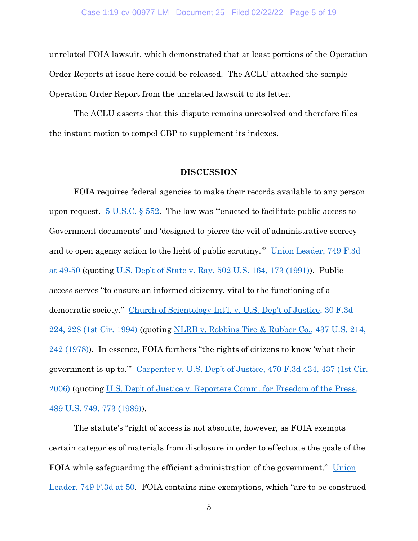unrelated FOIA lawsuit, which demonstrated that at least portions of the Operation Order Reports at issue here could be released. The ACLU attached the sample Operation Order Report from the unrelated lawsuit to its letter.

The ACLU asserts that this dispute remains unresolved and therefore files the instant motion to compel CBP to supplement its indexes.

### **DISCUSSION**

FOIA requires federal agencies to make their records available to any person upon request.  $5 \text{ U.S.C.}$  § 552. The law was "enacted to facilitate public access to Government documents' and 'designed to pierce the veil of administrative secrecy and to open agency action to the light of public scrutiny.'" [Union Leader, 749 F.3d](https://www.westlaw.com/Document/I393ab4fbcb1f11e39488c8f438320c70/View/FullText.html?transitionType=Default&contextData=(sc.Default)&VR=3.0&RS=da3.0&fragmentIdentifier=co_pp_sp_506_49)  [at 49-50](https://www.westlaw.com/Document/I393ab4fbcb1f11e39488c8f438320c70/View/FullText.html?transitionType=Default&contextData=(sc.Default)&VR=3.0&RS=da3.0&fragmentIdentifier=co_pp_sp_506_49) (quoting U.S. Dep't of State v. Ray[, 502 U.S. 164, 173 \(1991\)\)](https://www.westlaw.com/Document/I862bee719c9011d993e6d35cc61aab4a/View/FullText.html?transitionType=Default&contextData=(sc.Default)&VR=3.0&RS=da3.0&fragmentIdentifier=co_pp_sp_780_173). Public access serves "to ensure an informed citizenry, vital to the functioning of a democratic society." [Church of Scientology Int](https://www.westlaw.com/Document/I57527541970611d993e6d35cc61aab4a/View/FullText.html?transitionType=Default&contextData=(sc.Default)&VR=3.0&RS=da3.0&fragmentIdentifier=co_pp_sp_506_228)'l. v. U.S. Dep't of Justice, 30 F.3d [224, 228 \(1st Cir. 1994\)](https://www.westlaw.com/Document/I57527541970611d993e6d35cc61aab4a/View/FullText.html?transitionType=Default&contextData=(sc.Default)&VR=3.0&RS=da3.0&fragmentIdentifier=co_pp_sp_506_228) (quoting [NLRB v. Robbins Tire & Rubber Co., 437 U.S. 214,](https://www.westlaw.com/Document/Ice9c7d929c9611d993e6d35cc61aab4a/View/FullText.html?transitionType=Default&contextData=(sc.Default)&VR=3.0&RS=da3.0&fragmentIdentifier=co_pp_sp_780_242)  [242 \(1978\)\)](https://www.westlaw.com/Document/Ice9c7d929c9611d993e6d35cc61aab4a/View/FullText.html?transitionType=Default&contextData=(sc.Default)&VR=3.0&RS=da3.0&fragmentIdentifier=co_pp_sp_780_242). In essence, FOIA furthers "the rights of citizens to know 'what their government is up to.'" [Carpenter v. U.S. Dep't of Justice](https://www.westlaw.com/Document/I4689dd878a3d11db9127cf4cfcf88547/View/FullText.html?transitionType=Default&contextData=(sc.Default)&VR=3.0&RS=da3.0&fragmentIdentifier=co_pp_sp_506_437), 470 F.3d 434, 437 (1st Cir. [2006\)](https://www.westlaw.com/Document/I4689dd878a3d11db9127cf4cfcf88547/View/FullText.html?transitionType=Default&contextData=(sc.Default)&VR=3.0&RS=da3.0&fragmentIdentifier=co_pp_sp_506_437) (quoting U.S. Dep't of J[ustice v. Reporters Comm. for Freedom of the Press,](https://www.westlaw.com/Document/Ice99e5819c9611d993e6d35cc61aab4a/View/FullText.html?transitionType=Default&contextData=(sc.Default)&VR=3.0&RS=da3.0&fragmentIdentifier=co_pp_sp_780_773)  [489 U.S. 749, 773 \(1989\)\)](https://www.westlaw.com/Document/Ice99e5819c9611d993e6d35cc61aab4a/View/FullText.html?transitionType=Default&contextData=(sc.Default)&VR=3.0&RS=da3.0&fragmentIdentifier=co_pp_sp_780_773).

The statute's "right of access is not absolute, however, as FOIA exempts certain categories of materials from disclosure in order to effectuate the goals of the FOIA while safeguarding the efficient administration of the government." Union [Leader, 749 F.3d at 50](https://www.westlaw.com/Document/I393ab4fbcb1f11e39488c8f438320c70/View/FullText.html?transitionType=Default&contextData=(sc.Default)&VR=3.0&RS=da3.0&fragmentIdentifier=co_pp_sp_506_50). FOIA contains nine exemptions, which "are to be construed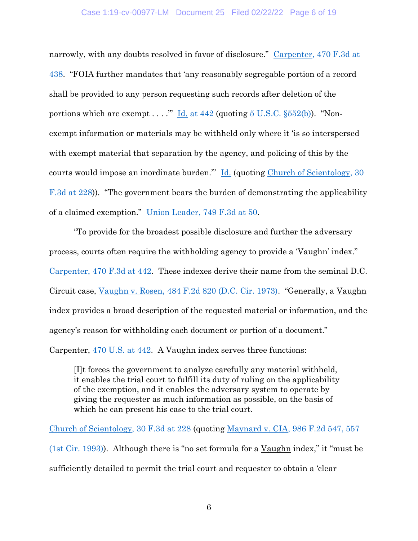### Case 1:19-cv-00977-LM Document 25 Filed 02/22/22 Page 6 of 19

narrowly, with any doubts resolved in favor of disclosure." [Carpenter, 470 F.3d](https://www.westlaw.com/Document/I4689dd878a3d11db9127cf4cfcf88547/View/FullText.html?transitionType=Default&contextData=(sc.Default)&VR=3.0&RS=da3.0&fragmentIdentifier=co_pp_sp_506_438) at [438.](https://www.westlaw.com/Document/I4689dd878a3d11db9127cf4cfcf88547/View/FullText.html?transitionType=Default&contextData=(sc.Default)&VR=3.0&RS=da3.0&fragmentIdentifier=co_pp_sp_506_438) "FOIA further mandates that 'any reasonably segregable portion of a record shall be provided to any person requesting such records after deletion of the portions which are exempt . . . . "" Id. at  $442$  (quoting  $5 \text{ U.S.C. }$   $\S552(b)$ ). "Nonexempt information or materials may be withheld only where it 'is so interspersed with exempt material that separation by the agency, and policing of this by the courts would impose an inordinate burden." [Id.](https://www.westlaw.com/Document/N80B2C7604A0911E69C0FE30FEF04D3AC/View/FullText.html?transitionType=Default&contextData=(sc.Default)&VR=3.0&RS=da3.0) (quoting Church of Scientology, 30 [F.3d at 228\)](https://www.westlaw.com/Document/I57527541970611d993e6d35cc61aab4a/View/FullText.html?transitionType=Default&contextData=(sc.Default)&VR=3.0&RS=da3.0&fragmentIdentifier=co_pp_sp_506_228)). "The government bears the burden of demonstrating the applicability of a claimed exemption." [Union Leader, 749 F.3d at 50.](https://www.westlaw.com/Document/I393ab4fbcb1f11e39488c8f438320c70/View/FullText.html?transitionType=Default&contextData=(sc.Default)&VR=3.0&RS=da3.0&fragmentIdentifier=co_pp_sp_506_50)

"To provide for the broadest possible disclosure and further the adversary process, courts often require the withholding agency to provide a 'Vaughn' index." [Carpenter, 470 F.3d at 442.](https://www.westlaw.com/Document/I4689dd878a3d11db9127cf4cfcf88547/View/FullText.html?transitionType=Default&contextData=(sc.Default)&VR=3.0&RS=da3.0&fragmentIdentifier=co_pp_sp_506_442) These indexes derive their name from the seminal D.C. Circuit case, [Vaughn v. Rosen, 484 F.2d 820 \(D.C. Cir. 1973\)](https://www.westlaw.com/Document/I4c5bb140901911d9bc61beebb95be672/View/FullText.html?transitionType=Default&contextData=(sc.Default)&VR=3.0&RS=da3.0). "Generally, a Vaughn index provides a broad description of the requested material or information, and the agency's reason for withholding each document or portion of a document."

Carpenter, [470 U.S. at 442.](https://www.westlaw.com/Document/Ic1d2a63c9c1e11d991d0cc6b54f12d4d/View/FullText.html?transitionType=Default&contextData=(sc.Default)&VR=3.0&RS=da3.0) A Vaughn index serves three functions:

[I]t forces the government to analyze carefully any material withheld, it enables the trial court to fulfill its duty of ruling on the applicability of the exemption, and it enables the adversary system to operate by giving the requester as much information as possible, on the basis of which he can present his case to the trial court.

[Church of Scientology, 30 F.3d at 228](https://www.westlaw.com/Document/I57527541970611d993e6d35cc61aab4a/View/FullText.html?transitionType=Default&contextData=(sc.Default)&VR=3.0&RS=da3.0&fragmentIdentifier=co_pp_sp_506_228) (quoting [Maynard v. CIA, 986 F.2d 547, 557](https://www.westlaw.com/Document/Iff9fe6a1957211d9a707f4371c9c34f0/View/FullText.html?transitionType=Default&contextData=(sc.Default)&VR=3.0&RS=da3.0&fragmentIdentifier=co_pp_sp_350_557)  [\(1st Cir. 1993\)\)](https://www.westlaw.com/Document/Iff9fe6a1957211d9a707f4371c9c34f0/View/FullText.html?transitionType=Default&contextData=(sc.Default)&VR=3.0&RS=da3.0&fragmentIdentifier=co_pp_sp_350_557). Although there is "no set formula for a Vaughn index," it "must be sufficiently detailed to permit the trial court and requester to obtain a 'clear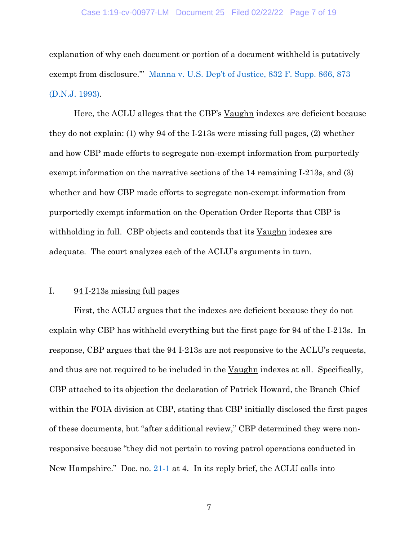### Case 1:19-cv-00977-LM Document 25 Filed 02/22/22 Page 7 of 19

explanation of why each document or portion of a document withheld is putatively exempt from disclosure.'" [Manna v. U.S. Dep't of Justice](https://www.westlaw.com/Document/I37d2a479560f11d9a99c85a9e6023ffa/View/FullText.html?transitionType=Default&contextData=(sc.Default)&VR=3.0&RS=da3.0&fragmentIdentifier=co_pp_sp_345_873), 832 F. Supp. 866, 873 [\(D.N.J. 1993\).](https://www.westlaw.com/Document/I37d2a479560f11d9a99c85a9e6023ffa/View/FullText.html?transitionType=Default&contextData=(sc.Default)&VR=3.0&RS=da3.0&fragmentIdentifier=co_pp_sp_345_873)

Here, the ACLU alleges that the CBP's Vaughn indexes are deficient because they do not explain: (1) why 94 of the I-213s were missing full pages, (2) whether and how CBP made efforts to segregate non-exempt information from purportedly exempt information on the narrative sections of the 14 remaining I-213s, and (3) whether and how CBP made efforts to segregate non-exempt information from purportedly exempt information on the Operation Order Reports that CBP is withholding in full. CBP objects and contends that its Vaughn indexes are adequate. The court analyzes each of the ACLU's arguments in turn.

## I. 94 I-213s missing full pages

First, the ACLU argues that the indexes are deficient because they do not explain why CBP has withheld everything but the first page for 94 of the I-213s. In response, CBP argues that the 94 I-213s are not responsive to the ACLU's requests, and thus are not required to be included in the <u>Vaughn</u> indexes at all. Specifically, CBP attached to its objection the declaration of Patrick Howard, the Branch Chief within the FOIA division at CBP, stating that CBP initially disclosed the first pages of these documents, but "after additional review," CBP determined they were nonresponsive because "they did not pertain to roving patrol operations conducted in New Hampshire." Doc. no. [21-1](https://ecf.nhd.uscourts.gov/doc1/11712711288) at 4. In its reply brief, the ACLU calls into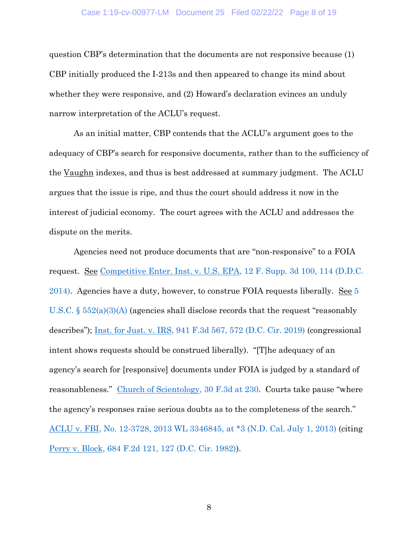## Case 1:19-cv-00977-LM Document 25 Filed 02/22/22 Page 8 of 19

question CBP's determination that the documents are not responsive because (1) CBP initially produced the I-213s and then appeared to change its mind about whether they were responsive, and  $(2)$  Howard's declaration evinces an unduly narrow interpretation of the ACLU's request.

As an initial matter, CBP contends that the ACLU's argument goes to the adequacy of CBP's search for responsive documents, rather than to the sufficiency of the Vaughn indexes, and thus is best addressed at summary judgment. The ACLU argues that the issue is ripe, and thus the court should address it now in the interest of judicial economy. The court agrees with the ACLU and addresses the dispute on the merits.

Agencies need not produce documents that are "non-responsive" to a FOIA request. See [Competitive Enter. Inst. v. U.S. EPA, 12 F. Supp. 3d 100, 114 \(D.D.C.](https://www.westlaw.com/Document/Ia197131687c011e39ac8bab74931929c/View/FullText.html?transitionType=Default&contextData=(sc.Default)&VR=3.0&RS=da3.0&fragmentIdentifier=co_pp_sp_7903_114)  [2014\).](https://www.westlaw.com/Document/Ia197131687c011e39ac8bab74931929c/View/FullText.html?transitionType=Default&contextData=(sc.Default)&VR=3.0&RS=da3.0&fragmentIdentifier=co_pp_sp_7903_114) Agencies have a duty, however, to construe FOIA requests liberally. See [5](https://www.westlaw.com/Document/N80B2C7604A0911E69C0FE30FEF04D3AC/View/FullText.html?transitionType=Default&contextData=(sc.Default)&VR=3.0&RS=da3.0)  U.S.C. § [552\(a\)\(3\)\(A\)](https://www.westlaw.com/Document/N80B2C7604A0911E69C0FE30FEF04D3AC/View/FullText.html?transitionType=Default&contextData=(sc.Default)&VR=3.0&RS=da3.0) (agencies shall disclose records that the request "reasonably describes"); [Inst. for Just. v. IRS, 941 F.3d 567, 572 \(D.C. Cir. 2019\)](https://www.westlaw.com/Document/I0dc8d320fcc611e9a7bb80b18f6cc927/View/FullText.html?transitionType=Default&contextData=(sc.Default)&VR=3.0&RS=da3.0&fragmentIdentifier=co_pp_sp_506_572) (congressional intent shows requests should be construed liberally). "[T]he adequacy of an agency's search for [responsive] documents under FOIA is judged by a standard of reasonableness." [Church of Scientology, 30 F.3d at](https://www.westlaw.com/Document/I57527541970611d993e6d35cc61aab4a/View/FullText.html?transitionType=Default&contextData=(sc.Default)&VR=3.0&RS=da3.0&fragmentIdentifier=co_pp_sp_506_230) 230. Courts take pause "where the agency's responses raise serious doubts as to the completeness of the search." ACLU [v. FBI, No. 12-3728, 2013 WL 3346845, at \\*3](https://www.westlaw.com/Document/I599dcd8ae2b811e2a160cacff148223f/View/FullText.html?transitionType=Default&contextData=(sc.Default)&VR=3.0&RS=da3.0&fragmentIdentifier=co_pp_sp_999_3) (N.D. Cal. July 1, 2013) (citing [Perry v. Block, 684 F.2d 121, 127 \(D.C. Cir. 1982\)\)](https://www.westlaw.com/Document/Id79bd8c092f811d9bc61beebb95be672/View/FullText.html?transitionType=Default&contextData=(sc.Default)&VR=3.0&RS=da3.0&fragmentIdentifier=co_pp_sp_350_127).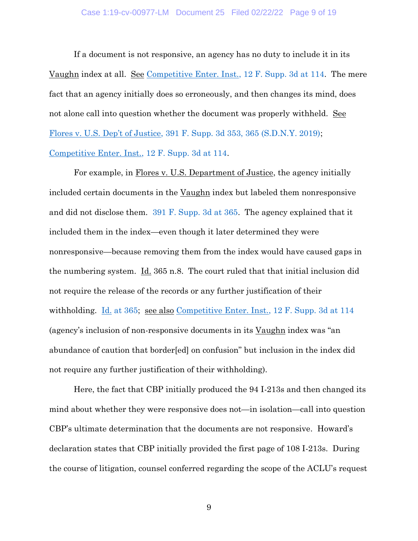### Case 1:19-cv-00977-LM Document 25 Filed 02/22/22 Page 9 of 19

If a document is not responsive, an agency has no duty to include it in its Vaughn index at all. See Competitive Enter. [Inst., 12 F. Supp. 3d at 114.](https://www.westlaw.com/Document/Ia197131687c011e39ac8bab74931929c/View/FullText.html?transitionType=Default&contextData=(sc.Default)&VR=3.0&RS=da3.0&fragmentIdentifier=co_pp_sp_7903_114) The mere fact that an agency initially does so erroneously, and then changes its mind, does not alone call into question whether the document was properly withheld. See Flores v. U.S. Dep't of Justice[, 391 F. Supp. 3d 353, 365 \(S.D.N.Y. 2019\);](https://www.westlaw.com/Document/I02bd67e0b4ad11e998e8870e22e55653/View/FullText.html?transitionType=Default&contextData=(sc.Default)&VR=3.0&RS=da3.0&fragmentIdentifier=co_pp_sp_7903_365) [Competitive Enter. Inst., 12 F. Supp. 3d at 114.](https://www.westlaw.com/Document/Ia197131687c011e39ac8bab74931929c/View/FullText.html?transitionType=Default&contextData=(sc.Default)&VR=3.0&RS=da3.0&fragmentIdentifier=co_pp_sp_7903_114)

For example, in Flores v. U.S. Department of Justice, the agency initially included certain documents in the Vaughn index but labeled them nonresponsive and did not disclose them. [391 F. Supp. 3d at 365.](https://www.westlaw.com/Document/I02bd67e0b4ad11e998e8870e22e55653/View/FullText.html?transitionType=Default&contextData=(sc.Default)&VR=3.0&RS=da3.0&fragmentIdentifier=co_pp_sp_7903_365) The agency explained that it included them in the index—even though it later determined they were nonresponsive—because removing them from the index would have caused gaps in the numbering system. Id. 365 n.8. The court ruled that that initial inclusion did not require the release of the records or any further justification of their withholding. <u>Id.</u> [at 365;](https://www.westlaw.com/Document/I02bd67e0b4ad11e998e8870e22e55653/View/FullText.html?transitionType=Default&contextData=(sc.Default)&VR=3.0&RS=da3.0&fragmentIdentifier=co_pp_sp_7903_365) <u>see also Competitive Enter. Inst.</u>, 12 F. Supp. 3d at 114 (agency's inclusion of non-responsive documents in its Vaughn index was "an abundance of caution that border[ed] on confusion" but inclusion in the index did not require any further justification of their withholding).

Here, the fact that CBP initially produced the 94 I-213s and then changed its mind about whether they were responsive does not—in isolation—call into question CBP's ultimate determination that the documents are not responsive. Howard's declaration states that CBP initially provided the first page of 108 I-213s. During the course of litigation, counsel conferred regarding the scope of the ACLU's request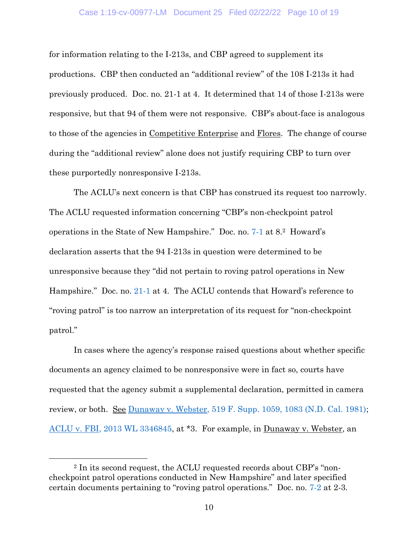## Case 1:19-cv-00977-LM Document 25 Filed 02/22/22 Page 10 of 19

for information relating to the I-213s, and CBP agreed to supplement its productions. CBP then conducted an "additional review" of the 108 I-213s it had previously produced. Doc. no. 21-1 at 4. It determined that 14 of those I-213s were responsive, but that 94 of them were not responsive. CBP's about-face is analogous to those of the agencies in Competitive Enterprise and Flores. The change of course during the "additional review" alone does not justify requiring CBP to turn over these purportedly nonresponsive I-213s.

The ACLU's next concern is that CBP has construed its request too narrowly. The ACLU requested information concerning "CBP's non-checkpoint patrol operations in the State of New Hampshire." Doc. no. [7-1](https://ecf.nhd.uscourts.gov/doc1/11712370094) at 8.<sup>2</sup> Howard's declaration asserts that the 94 I-213s in question were determined to be unresponsive because they "did not pertain to roving patrol operations in New Hampshire." Doc. no. [21-1](https://ecf.nhd.uscourts.gov/doc1/11712711288) at 4. The ACLU contends that Howard's reference to "roving patrol" is too narrow an interpretation of its request for "non-checkpoint patrol."

In cases where the agency's response raised questions about whether specific documents an agency claimed to be nonresponsive were in fact so, courts have requested that the agency submit a supplemental declaration, permitted in camera review, or both. See Dunaway v. Webster, 519 F. Supp.  $1059$ ,  $1083$  (N.D. Cal. 1981); [ACLU v. FBI, 2013 WL 3346845,](https://www.westlaw.com/Document/I599dcd8ae2b811e2a160cacff148223f/View/FullText.html?transitionType=Default&contextData=(sc.Default)&VR=3.0&RS=da3.0) at \*3. For example, in Dunaway v. Webster, an

<sup>2</sup> In its second request, the ACLU requested records about CBP's "noncheckpoint patrol operations conducted in New Hampshire" and later specified certain documents pertaining to "roving patrol operations." Doc. no. [7-2](https://ecf.nhd.uscourts.gov/doc1/11712370095) at 2-3.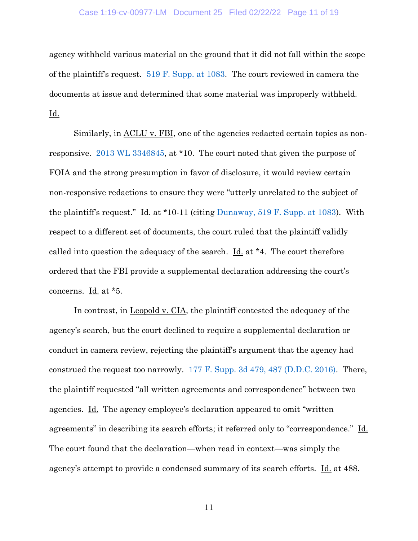## Case 1:19-cv-00977-LM Document 25 Filed 02/22/22 Page 11 of 19

agency withheld various material on the ground that it did not fall within the scope of the plaintiff's request. [519 F. Supp. at](https://www.westlaw.com/Document/Ic3fb3837556111d997e0acd5cbb90d3f/View/FullText.html?transitionType=Default&contextData=(sc.Default)&VR=3.0&RS=da3.0&fragmentIdentifier=co_pp_sp_345_1083) 1083. The court reviewed in camera the documents at issue and determined that some material was improperly withheld. Id.

Similarly, in  $\Delta$ CLU v. FBI, one of the agencies redacted certain topics as nonresponsive. [2013 WL 3346845,](https://www.westlaw.com/Document/I599dcd8ae2b811e2a160cacff148223f/View/FullText.html?transitionType=Default&contextData=(sc.Default)&VR=3.0&RS=da3.0) at \*10. The court noted that given the purpose of FOIA and the strong presumption in favor of disclosure, it would review certain non-responsive redactions to ensure they were "utterly unrelated to the subject of the plaintiff's request." Id. at \*10-11 (citing [Dunaway, 519 F. Supp. at 1083\)](https://www.westlaw.com/Document/Ic3fb3837556111d997e0acd5cbb90d3f/View/FullText.html?transitionType=Default&contextData=(sc.Default)&VR=3.0&RS=da3.0&fragmentIdentifier=co_pp_sp_345_1083). With respect to a different set of documents, the court ruled that the plaintiff validly called into question the adequacy of the search. Id. at \*4. The court therefore ordered that the FBI provide a supplemental declaration addressing the court's concerns. Id. at \*5.

In contrast, in Leopold v. CIA, the plaintiff contested the adequacy of the agency's search, but the court declined to require a supplemental declaration or conduct in camera review, rejecting the plaintiff's argument that the agency had construed the request too narrowly. [177 F. Supp. 3d 479, 487 \(D.D.C. 2016\).](https://www.westlaw.com/Document/I7a74fa0000a111e68200cc8fe940080b/View/FullText.html?transitionType=Default&contextData=(sc.Default)&VR=3.0&RS=da3.0&fragmentIdentifier=co_pp_sp_7903_487) There, the plaintiff requested "all written agreements and correspondence" between two agencies. Id. The agency employee's declaration appeared to omit "written agreements" in describing its search efforts; it referred only to "correspondence." Id. The court found that the declaration—when read in context—was simply the agency's attempt to provide a condensed summary of its search efforts. Id. at 488.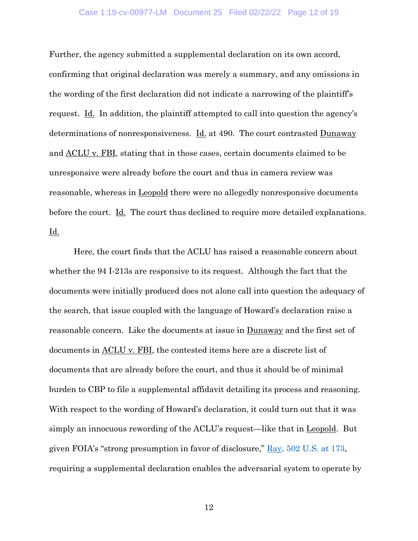## Case 1:19-cv-00977-LM Document 25 Filed 02/22/22 Page 12 of 19

Further, the agency submitted a supplemental declaration on its own accord, confirming that original declaration was merely a summary, and any omissions in the wording of the first declaration did not indicate a narrowing of the plaintiff's request. Id. In addition, the plaintiff attempted to call into question the agency's determinations of nonresponsiveness. Id. at 490. The court contrasted Dunaway and ACLU v. FBI, stating that in those cases, certain documents claimed to be unresponsive were already before the court and thus in camera review was reasonable, whereas in **Leopold** there were no allegedly nonresponsive documents before the court. Id. The court thus declined to require more detailed explanations. Id.

Here, the court finds that the ACLU has raised a reasonable concern about whether the 94 I-213s are responsive to its request. Although the fact that the documents were initially produced does not alone call into question the adequacy of the search, that issue coupled with the language of Howard's declaration raise a reasonable concern. Like the documents at issue in Dunaway and the first set of documents in ACLU v. FBI, the contested items here are a discrete list of documents that are already before the court, and thus it should be of minimal burden to CBP to file a supplemental affidavit detailing its process and reasoning. With respect to the wording of Howard's declaration, it could turn out that it was simply an innocuous rewording of the ACLU's request—like that in Leopold. But given FOIA's "strong presumption in favor of disclosure," [Ray, 502 U.S. at 173,](https://www.westlaw.com/Document/I862bee719c9011d993e6d35cc61aab4a/View/FullText.html?transitionType=Default&contextData=(sc.Default)&VR=3.0&RS=da3.0&fragmentIdentifier=co_pp_sp_780_173) requiring a supplemental declaration enables the adversarial system to operate by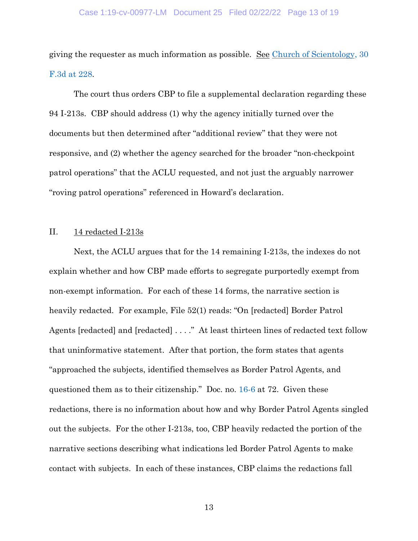giving the requester as much information as possible. See Church of Scientology, 30 [F.3d at 228.](https://www.westlaw.com/Document/I57527541970611d993e6d35cc61aab4a/View/FullText.html?transitionType=Default&contextData=(sc.Default)&VR=3.0&RS=da3.0&fragmentIdentifier=co_pp_sp_506_228)

The court thus orders CBP to file a supplemental declaration regarding these 94 I-213s. CBP should address (1) why the agency initially turned over the documents but then determined after "additional review" that they were not responsive, and (2) whether the agency searched for the broader "non-checkpoint patrol operations" that the ACLU requested, and not just the arguably narrower "roving patrol operations" referenced in Howard's declaration.

## II. 14 redacted I-213s

Next, the ACLU argues that for the 14 remaining I-213s, the indexes do not explain whether and how CBP made efforts to segregate purportedly exempt from non-exempt information. For each of these 14 forms, the narrative section is heavily redacted. For example, File 52(1) reads: "On [redacted] Border Patrol Agents [redacted] and [redacted] . . . ." At least thirteen lines of redacted text follow that uninformative statement. After that portion, the form states that agents "approached the subjects, identified themselves as Border Patrol Agents, and questioned them as to their citizenship." Doc. no. [16-6](https://ecf.nhd.uscourts.gov/doc1/11712671573) at 72. Given these redactions, there is no information about how and why Border Patrol Agents singled out the subjects. For the other I-213s, too, CBP heavily redacted the portion of the narrative sections describing what indications led Border Patrol Agents to make contact with subjects. In each of these instances, CBP claims the redactions fall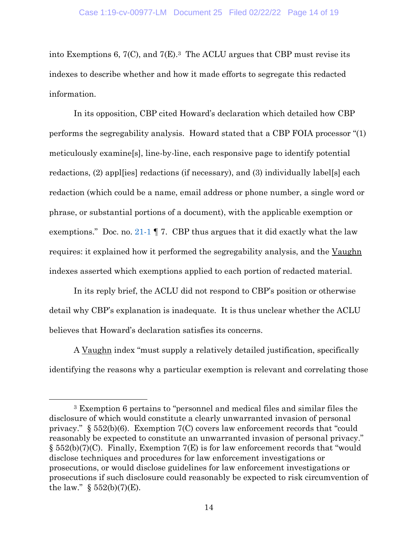into Exemptions 6, 7(C), and 7(E). <sup>3</sup> The ACLU argues that CBP must revise its indexes to describe whether and how it made efforts to segregate this redacted information.

In its opposition, CBP cited Howard's declaration which detailed how CBP performs the segregability analysis. Howard stated that a CBP FOIA processor "(1) meticulously examine[s], line-by-line, each responsive page to identify potential redactions, (2) appl[ies] redactions (if necessary), and (3) individually label[s] each redaction (which could be a name, email address or phone number, a single word or phrase, or substantial portions of a document), with the applicable exemption or exemptions." Doc. no. [21-1](https://ecf.nhd.uscourts.gov/doc1/11712711288)  $\parallel$  7. CBP thus argues that it did exactly what the law requires: it explained how it performed the segregability analysis, and the Vaughn indexes asserted which exemptions applied to each portion of redacted material.

In its reply brief, the ACLU did not respond to CBP's position or otherwise detail why CBP's explanation is inadequate. It is thus unclear whether the ACLU believes that Howard's declaration satisfies its concerns.

A Vaughn index "must supply a relatively detailed justification, specifically identifying the reasons why a particular exemption is relevant and correlating those

<sup>3</sup> Exemption 6 pertains to "personnel and medical files and similar files the disclosure of which would constitute a clearly unwarranted invasion of personal privacy." § 552(b)(6). Exemption 7(C) covers law enforcement records that "could reasonably be expected to constitute an unwarranted invasion of personal privacy."  $\S$  552(b)(7)(C). Finally, Exemption 7(E) is for law enforcement records that "would disclose techniques and procedures for law enforcement investigations or prosecutions, or would disclose guidelines for law enforcement investigations or prosecutions if such disclosure could reasonably be expected to risk circumvention of the law."  $\S 552(b)(7)(E)$ .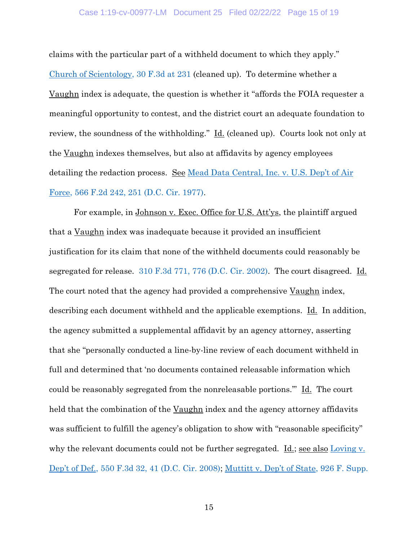claims with the particular part of a withheld document to which they apply." [Church of Scientology, 30 F.3d at 231](https://www.westlaw.com/Document/I57527541970611d993e6d35cc61aab4a/View/FullText.html?transitionType=Default&contextData=(sc.Default)&VR=3.0&RS=da3.0&fragmentIdentifier=co_pp_sp_506_231) (cleaned up). To determine whether a Vaughn index is adequate, the question is whether it "affords the FOIA requester a meaningful opportunity to contest, and the district court an adequate foundation to review, the soundness of the withholding." Id. (cleaned up). Courts look not only at the Vaughn indexes themselves, but also at affidavits by agency employees detailing the redaction process. See [Mead Data Central, Inc.](https://www.westlaw.com/Document/Ib3070922910f11d9a707f4371c9c34f0/View/FullText.html?transitionType=Default&contextData=(sc.Default)&VR=3.0&RS=da3.0&fragmentIdentifier=co_pp_sp_350_251) v. U.S. Dep't of Air [Force, 566 F.2d 242, 251 \(D.C. Cir. 1977\).](https://www.westlaw.com/Document/Ib3070922910f11d9a707f4371c9c34f0/View/FullText.html?transitionType=Default&contextData=(sc.Default)&VR=3.0&RS=da3.0&fragmentIdentifier=co_pp_sp_350_251)

For example, in Johnson v. Exec. Office for U.S. Att'ys, the plaintiff argued that a Vaughn index was inadequate because it provided an insufficient justification for its claim that none of the withheld documents could reasonably be segregated for release. [310 F.3d 771, 776 \(D.C. Cir. 2002\).](https://www.westlaw.com/Document/Iad3b2d1f89b611d98b51ba734bfc3c79/View/FullText.html?transitionType=Default&contextData=(sc.Default)&VR=3.0&RS=da3.0&fragmentIdentifier=co_pp_sp_506_776) The court disagreed. Id. The court noted that the agency had provided a comprehensive Vaughn index, describing each document withheld and the applicable exemptions. Id. In addition, the agency submitted a supplemental affidavit by an agency attorney, asserting that she "personally conducted a line-by-line review of each document withheld in full and determined that 'no documents contained releasable information which could be reasonably segregated from the nonreleasable portions." Id. The court held that the combination of the Vaughn index and the agency attorney affidavits was sufficient to fulfill the agency's obligation to show with "reasonable specificity" why the relevant documents could not be further segregated. Id.; see also [Loving v.](https://www.westlaw.com/Document/I81bb67ddd0df11ddb77d9846f86fae5c/View/FullText.html?transitionType=Default&contextData=(sc.Default)&VR=3.0&RS=da3.0&fragmentIdentifier=co_pp_sp_506_41)  Dep't of Def.[, 550 F.3d 32, 41 \(D.C. Cir. 2008\);](https://www.westlaw.com/Document/I81bb67ddd0df11ddb77d9846f86fae5c/View/FullText.html?transitionType=Default&contextData=(sc.Default)&VR=3.0&RS=da3.0&fragmentIdentifier=co_pp_sp_506_41) [Muttitt v. Dep't of State](https://www.westlaw.com/Document/Ied529a5f84ef11e2bae99fc449e7cd17/View/FullText.html?transitionType=Default&contextData=(sc.Default)&VR=3.0&RS=da3.0&fragmentIdentifier=co_pp_sp_4637_302), 926 F. Supp.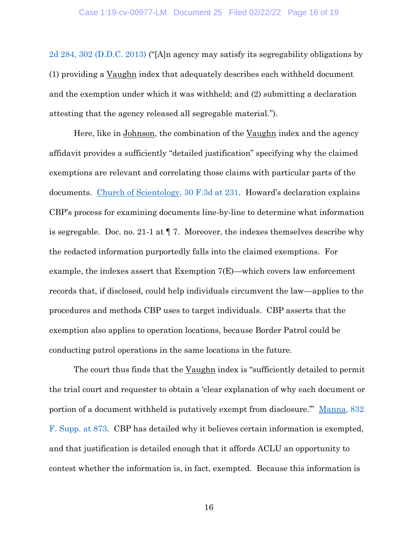[2d 284, 302 \(D.D.C. 2013\)](https://www.westlaw.com/Document/Ied529a5f84ef11e2bae99fc449e7cd17/View/FullText.html?transitionType=Default&contextData=(sc.Default)&VR=3.0&RS=da3.0&fragmentIdentifier=co_pp_sp_4637_302) ("[A]n agency may satisfy its segregability obligations by (1) providing a Vaughn index that adequately describes each withheld document and the exemption under which it was withheld; and (2) submitting a declaration attesting that the agency released all segregable material.").

Here, like in Johnson, the combination of the Vaughn index and the agency affidavit provides a sufficiently "detailed justification" specifying why the claimed exemptions are relevant and correlating those claims with particular parts of the documents. [Church of Scientology, 30 F.3d at 231](https://www.westlaw.com/Document/I57527541970611d993e6d35cc61aab4a/View/FullText.html?transitionType=Default&contextData=(sc.Default)&VR=3.0&RS=da3.0&fragmentIdentifier=co_pp_sp_506_231). Howard's declaration explains CBP's process for examining documents line-by-line to determine what information is segregable. Doc. no. 21-1 at ¶ 7. Moreover, the indexes themselves describe why the redacted information purportedly falls into the claimed exemptions. For example, the indexes assert that Exemption 7(E)—which covers law enforcement records that, if disclosed, could help individuals circumvent the law—applies to the procedures and methods CBP uses to target individuals. CBP asserts that the exemption also applies to operation locations, because Border Patrol could be conducting patrol operations in the same locations in the future.

The court thus finds that the Vaughn index is "sufficiently detailed to permit the trial court and requester to obtain a 'clear explanation of why each document or portion of a document withheld is putatively exempt from disclosure." Manna, 832 [F. Supp. at 873.](https://www.westlaw.com/Document/I37d2a479560f11d9a99c85a9e6023ffa/View/FullText.html?transitionType=Default&contextData=(sc.Default)&VR=3.0&RS=da3.0&fragmentIdentifier=co_pp_sp_345_873) CBP has detailed why it believes certain information is exempted, and that justification is detailed enough that it affords ACLU an opportunity to contest whether the information is, in fact, exempted. Because this information is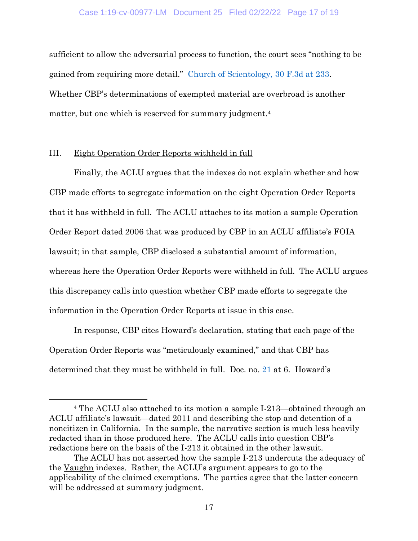sufficient to allow the adversarial process to function, the court sees "nothing to be gained from requiring more detail." [Church of Scientology, 30 F.3d at 233.](https://www.westlaw.com/Document/I57527541970611d993e6d35cc61aab4a/View/FullText.html?transitionType=Default&contextData=(sc.Default)&VR=3.0&RS=da3.0&fragmentIdentifier=co_pp_sp_506_233) Whether CBP's determinations of exempted material are overbroad is another matter, but one which is reserved for summary judgment. 4

## III. Eight Operation Order Reports withheld in full

Finally, the ACLU argues that the indexes do not explain whether and how CBP made efforts to segregate information on the eight Operation Order Reports that it has withheld in full. The ACLU attaches to its motion a sample Operation Order Report dated 2006 that was produced by CBP in an ACLU affiliate's FOIA lawsuit; in that sample, CBP disclosed a substantial amount of information, whereas here the Operation Order Reports were withheld in full. The ACLU argues this discrepancy calls into question whether CBP made efforts to segregate the information in the Operation Order Reports at issue in this case.

In response, CBP cites Howard's declaration, stating that each page of the Operation Order Reports was "meticulously examined," and that CBP has determined that they must be withheld in full. Doc. no. [21](https://ecf.nhd.uscourts.gov/doc1/11702711287) at 6. Howard's

<sup>4</sup> The ACLU also attached to its motion a sample I-213—obtained through an ACLU affiliate's lawsuit—dated 2011 and describing the stop and detention of a noncitizen in California. In the sample, the narrative section is much less heavily redacted than in those produced here. The ACLU calls into question CBP's redactions here on the basis of the I-213 it obtained in the other lawsuit.

The ACLU has not asserted how the sample I-213 undercuts the adequacy of the Vaughn indexes. Rather, the ACLU's argument appears to go to the applicability of the claimed exemptions. The parties agree that the latter concern will be addressed at summary judgment.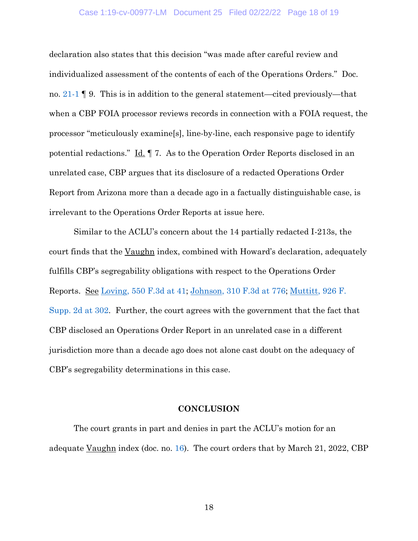## Case 1:19-cv-00977-LM Document 25 Filed 02/22/22 Page 18 of 19

declaration also states that this decision "was made after careful review and individualized assessment of the contents of each of the Operations Orders." Doc. no. [21-1](https://ecf.nhd.uscourts.gov/doc1/11712711288) ¶ 9. This is in addition to the general statement—cited previously—that when a CBP FOIA processor reviews records in connection with a FOIA request, the processor "meticulously examine[s], line-by-line, each responsive page to identify potential redactions." Id. ¶ 7. As to the Operation Order Reports disclosed in an unrelated case, CBP argues that its disclosure of a redacted Operations Order Report from Arizona more than a decade ago in a factually distinguishable case, is irrelevant to the Operations Order Reports at issue here.

Similar to the ACLU's concern about the 14 partially redacted I-213s, the court finds that the Vaughn index, combined with Howard's declaration, adequately fulfills CBP's segregability obligations with respect to the Operations Order Reports. See [Loving, 550 F.3d at](https://www.westlaw.com/Document/I81bb67ddd0df11ddb77d9846f86fae5c/View/FullText.html?transitionType=Default&contextData=(sc.Default)&VR=3.0&RS=da3.0&fragmentIdentifier=co_pp_sp_506_41) 41; [Johnson, 310 F.3d at 776;](https://www.westlaw.com/Document/Iad3b2d1f89b611d98b51ba734bfc3c79/View/FullText.html?transitionType=Default&contextData=(sc.Default)&VR=3.0&RS=da3.0&fragmentIdentifier=co_pp_sp_506_776) [Muttitt, 926 F.](https://www.westlaw.com/Document/Ied529a5f84ef11e2bae99fc449e7cd17/View/FullText.html?transitionType=Default&contextData=(sc.Default)&VR=3.0&RS=da3.0&fragmentIdentifier=co_pp_sp_4637_302)  [Supp. 2d at 302.](https://www.westlaw.com/Document/Ied529a5f84ef11e2bae99fc449e7cd17/View/FullText.html?transitionType=Default&contextData=(sc.Default)&VR=3.0&RS=da3.0&fragmentIdentifier=co_pp_sp_4637_302) Further, the court agrees with the government that the fact that CBP disclosed an Operations Order Report in an unrelated case in a different jurisdiction more than a decade ago does not alone cast doubt on the adequacy of CBP's segregability determinations in this case.

## **CONCLUSION**

The court grants in part and denies in part the ACLU's motion for an adequate Vaughn index (doc. no. [16\)](https://ecf.nhd.uscourts.gov/doc1/11702671567). The court orders that by March 21, 2022, CBP